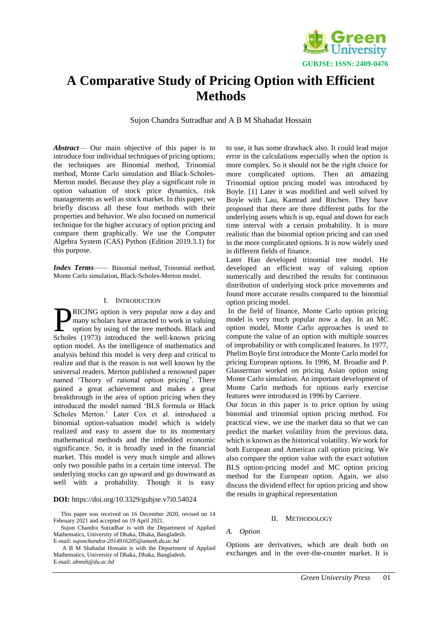

# **A Comparative Study of Pricing Option with Efficient Methods**

Sujon Chandra Sutradhar and A B M Shahadat Hossain

*Abstract*— Our main objective of this paper is to introduce four individual techniques of pricing options; the techniques are Binomial method, Trinomial method, Monte Carlo simulation and Black-Scholes-Merton model. Because they play a significant role in option valuation of stock price dynamics, risk managements as well as stock market. In this paper, we briefly discuss all these four methods with their properties and behavior. We also focused on numerical technique for the higher accuracy of option pricing and compare them graphically. We use the Computer Algebra System (CAS) Python (Edition 2019.3.1) for this purpose.

*Index Terms*—— Binomial method, Trinomial method, Monte Carlo simulation, Black-Scholes-Merton model.

#### I. INTRODUCTION

RICING option is very popular now a day and many scholars have attracted to work in valuing option by using of the tree methods. Black and **EXALCING** option is very popular now a day and many scholars have attracted to work in valuing option by using of the tree methods. Black and Scholes (1973) introduced the well-known pricing option model. As the intelligence of mathematics and analysis behind this model is very deep and critical to realize and that is the reason is not well known by the universal readers. Merton published a renowned paper named 'Theory of rational option pricing'. There gained a great achievement and makes a great breakthrough in the area of option pricing when they introduced the model named 'BLS formula or Black Scholes Merton.' Later Cox et al. introduced a binomial option-valuation model which is widely realized and easy to assent due to its momentary mathematical methods and the imbedded economic significance. So, it is broadly used in the financial market. This model is very much simple and allows only two possible paths in a certain time interval. The underlying stocks can go upward and go downward as well with a probability. Though it is easy

### **DOI:** https://doi.org/10.3329/gubjse.v7i0.54024

This paper was received on 16 December 2020, revised on 14 February 2021 and accepted on 19 April 2021.

Sujon Chandra Sutradhar is with the Department of Applied Mathematics, University of Dhaka, Dhaka, Bangladesh. E-mail: *sujonchandra-2014916205@amath.du.ac.bd*

A B M Shahadat Hossain is with the Department of Applied Mathematics, University of Dhaka, Dhaka, Bangladesh. E-mail: *abmsh@du.ac.bd*

to use, it has some drawback also. It could lead major error in the calculations especially when the option is more complex. So it should not be the right choice for more complicated options. Then an amazing Trinomial option pricing model was introduced by Boyle. [1] Later it was modified and well solved by Boyle with Lau, Kamrad and Ritchen. They have proposed that there are three different paths for the underlying assets which is up, equal and down for each time interval with a certain probability. It is more realistic than the binomial option pricing and can used in the more complicated options. It is now widely used in different fields of finance.

Later Han developed trinomial tree model. He developed an efficient way of valuing option numerically and described the results for continuous distribution of underlying stock price movements and found more accurate results compared to the binomial option pricing model.

In the field of finance, Monte Carlo option pricing model is very much popular now a day. In an MC option model, Monte Carlo approaches is used to compute the value of an option with multiple sources of improbability or with complicated features. In 1977, Phelim Boyle first introduce the Monte Carlo model for pricing European options. In 1996, M. Broadie and P. Glasserman worked on pricing Asian option using Monte Carlo simulation. An important development of Monte Carlo methods for options early exercise features were introduced in 1996 by Carriere.

Our focus in this paper is to price option by using binomial and trinomial option pricing method. For practical view, we use the market data so that we can predict the market volatility from the previous data, which is known as the historical volatility. We work for both European and American call option pricing. We also compare the option value with the exact solution BLS option-pricing model and MC option pricing method for the European option. Again, we also discuss the dividend effect for option pricing and show the results in graphical representation

## II. METHODOLOGY

# *A. Option*

Options are derivatives, which are dealt both on exchanges and in the over-the-counter market. It is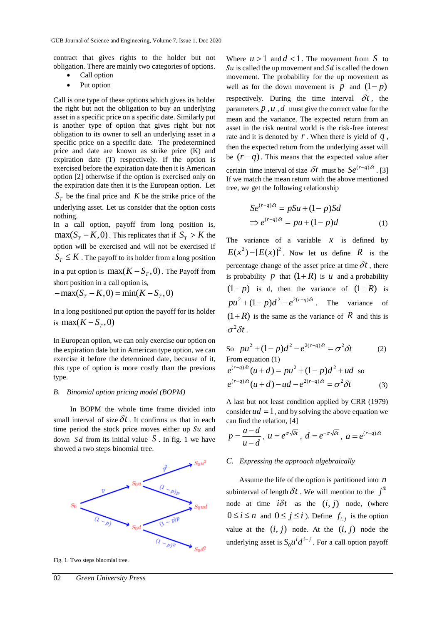contract that gives rights to the holder but not obligation. There are mainly two categories of options.

- Call option
- Put option

Call is one type of these options which gives its holder the right but not the obligation to buy an underlying asset in a specific price on a specific date. Similarly put is another type of option that gives right but not obligation to its owner to sell an underlying asset in a specific price on a specific date. The predetermined price and date are known as strike price (K) and expiration date (T) respectively. If the option is exercised before the expiration date then it is American option [2] otherwise if the option is exercised only on the expiration date then it is the European option. Let  $S_T$  be the final price and K be the strike price of the

underlying asset. Let us consider that the option costs nothing.

In a call option, payoff from long position is,  $\max(S_T - K, 0)$ . This replicates that if  $S_T > K$  the option will be exercised and will not be exercised if  $S_T \leq K$ . The payoff to its holder from a long position

in a put option is  $max(K - S_T, 0)$ . The Payoff from short position in a call option is,

 $-\max(S_T - K, 0) = \min(K - S_T, 0)$ 

In a long positioned put option the payoff for its holder is  $max(K - S_T, 0)$ 

In European option, we can only exercise our option on the expiration date but in American type option, we can exercise it before the determined date, because of it, this type of option is more costly than the previous type.

## *B. Binomial option pricing model (BOPM)*

 In BOPM the whole time frame divided into small interval of size  $\delta t$ . It confirms us that in each time period the stock price moves either up  $Su$  and down Sd from its initial value  $S$ . In fig. 1 we have showed a two steps binomial tree.



Fig. 1. Two steps binomial tree.

Where  $u > 1$  and  $d < 1$ . The movement from S to Su is called the up movement and  $Sd$  is called the down movement. The probability for the up movement as well as for the down movement is  $p$  and  $(1-p)$ respectively. During the time interval  $\delta t$ , the parameters  $p$ ,  $u$ ,  $d$  must give the correct value for the mean and the variance. The expected return from an asset in the risk neutral world is the risk-free interest rate and it is denoted by  $r$ . When there is yield of  $q$ , then the expected return from the underlying asset will be  $(r - q)$ . This means that the expected value after certain time interval of size  $\delta t$  must be  $Se^{(r-q)\delta t}$ . [3] If we match the mean return with the above mentioned tree, we get the following relationship

$$
Se^{(r-q)\delta t} = pSu + (1-p)Sd
$$
  
\n
$$
\Rightarrow e^{(r-q)\delta t} = pu + (1-p)d
$$
 (1)

The variance of a variable  $x$  is defined by  $E(x^2) - [E(x)]^2$ . Now let us define R is the percentage change of the asset price at time  $\delta t$ , there is probability p that  $(1 + R)$  is u and a probability  $(1-p)$  is d, then the variance of  $(1+R)$  is  $pu^{2} + (1-p)d^{2} - e^{2(r-q)\delta t}$ . The variance of  $(1+R)$  is the same as the variance of R and this is  $\sigma^2 \delta t$ .

So 
$$
pu^2 + (1 - p)d^2 - e^{2(r-q)\delta t} = \sigma^2 \delta t
$$
 (2)  
From equation (1)

$$
e^{(r-q)\delta t}(u+d) = pu^2 + (1-p)d^2 + ud
$$
 so  

$$
e^{(r-q)\delta t}(u+d) - ud - e^{2(r-q)\delta t} = \sigma^2 \delta t
$$
 (3)

A last but not least condition applied by CRR (1979) consider  $ud = 1$ , and by solving the above equation we can find the relation, [4]

$$
p = \frac{a - d}{u - d}, \ u = e^{\sigma \sqrt{\delta t}}, \ d = e^{-\sigma \sqrt{\delta t}}, \ a = e^{(r - q)\delta t}
$$

## *C. Expressing the approach algebraically*

 Assume the life of the option is partitioned into *n* subinterval of length  $\delta t$ . We will mention to the  $j<sup>th</sup>$ node at time  $i\delta t$  as the  $(i, j)$  node, (where  $0 \le i \le n$  and  $0 \le j \le i$ ). Define  $f_{i,j}$  is the option value at the  $(i, j)$  node. At the  $(i, j)$  node the underlying asset is  $S_0 u^i d^{i-j}$ . For a call option payoff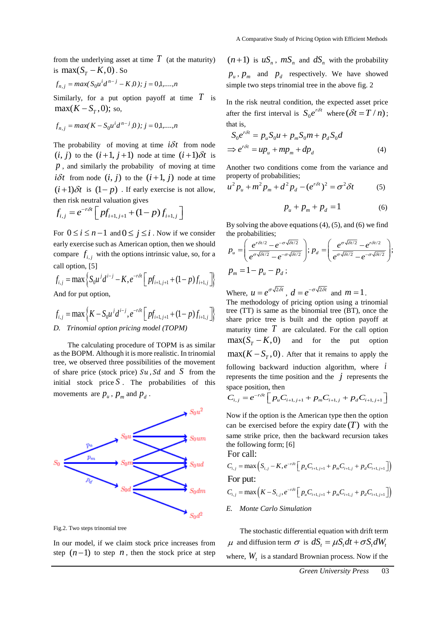from the underlying asset at time  $T$  (at the maturity) is  $\max(S_T - K, 0)$ . So

$$
f_{n,j} = \max(S_0 u^i d^{n-j} - K, 0); j = 0, 1, \dots, n
$$

Similarly, for a put option payoff at time  $T$  is  $max(K-S_T,0);$  so,

$$
f_{n,j} = \max(K - S_0 u^i d^{n-j}, 0); j = 0,1,\dots,n
$$

The probability of moving at time  $i\delta t$  from node  $(i, j)$  to the  $(i+1, j+1)$  node at time  $(i+1)\delta t$  is *p* , and similarly the probability of moving at time  $i\delta t$  from node  $(i, j)$  to the  $(i+1, j)$  node at time  $(i+1)\delta t$  is  $(1-p)$ . If early exercise is not allow, then risk neutral valuation gives

$$
f_{i,j} = e^{-r\delta t} \left[ p f_{i+1,j+1} + (1-p) f_{i+1,j} \right]
$$

For  $0 \le i \le n-1$  and  $0 \le j \le i$ . Now if we consider early exercise such as American option, then we should compare  $f_{i,j}$  with the options intrinsic value, so, for a call option, [5]

$$
f_{i,j} = \max \left\{ S_0 u^j d^{i-j} - K, e^{-r\delta t} \left[ p f_{i+1,j+1} + (1-p) f_{i+1,j} \right] \right\}
$$

And for put option,

$$
f_{i,j} = \max \left\{ K - S_0 u^j d^{i-j}, e^{-r\delta t} \left[ pf_{i+1,j+1} + (1-p) f_{i+1,j} \right] \right\}
$$
  
*D. Trinomial option pricing model (TOPM)*

 The calculating procedure of TOPM is as similar as the BOPM. Although it is more realistic. In trinomial tree, we observed three possibilities of the movement of share price (stock price)  $Su$ ,  $Sd$  and  $S$  from the initial stock price  $S$ . The probabilities of this movements are  $p_u$ ,  $p_m$  and  $p_d$ .



Fig.2. Two steps trinomial tree

In our model, if we claim stock price increases from step  $(n-1)$  to step n, then the stock price at step

 $(n+1)$  is  $uS_n$ ,  $mS_n$  and  $dS_n$  with the probability  $p_u$ ,  $p_m$  and  $p_d$  respectively. We have showed simple two steps trinomial tree in the above fig. 2

In the risk neutral condition, the expected asset price after the first interval is  $S_0 e^{r\delta t}$  where  $(\delta t = T/n)$ ; that is,

$$
S_0 e^{r\delta t} = p_u S_0 u + p_m S_0 m + p_d S_0 d
$$
  
\n
$$
\Rightarrow e^{r\delta t} = u p_u + m p_m + d p_d
$$
 (4)

Another two conditions come from the variance and property of probabilities;

$$
u^{2} p_{u} + m^{2} p_{m} + d^{2} p_{d} - (e^{r\delta t})^{2} = \sigma^{2} \delta t
$$
 (5)

$$
p_u + p_m + p_d = 1 \tag{6}
$$

By solving the above equations  $(4)$ ,  $(5)$ , and  $(6)$  we find the probabilities;

$$
p_u = \left(\frac{e^{r\delta t/2} - e^{-\sigma\sqrt{\delta t/2}}}{e^{\sigma\sqrt{\delta t/2}} - e^{-\sigma\sqrt{\delta t/2}}}\right); p_d = \left(\frac{e^{\sigma\sqrt{\delta t/2}} - e^{r\delta t/2}}{e^{\sigma\sqrt{\delta t/2}} - e^{-\sigma\sqrt{\delta t/2}}}\right);
$$
  

$$
p_m = 1 - p_u - p_d;
$$

Where,  $u = e^{\sigma \sqrt{2\delta}t}$ ,  $d = e^{-\sigma \sqrt{2\delta}t}$  and  $m = 1$ . The methodology of pricing option using a trinomial

tree (TT) is same as the binomial tree (BT), once the share price tree is built and the option payoff at maturity time  $T$  are calculated. For the call option  $max(S_\tau-K,0)$ and for the put option  $\max(K - S_T, 0)$ . After that it remains to apply the following backward induction algorithm, where *i* represents the time position and the  $j$  represents the space position, then

$$
C_{i,j} = e^{-r\delta t} \left[ p_u C_{i+1,j+1} + p_m C_{i+1,j} + p_d C_{i+1,j+1} \right]
$$

Now if the option is the American type then the option can be exercised before the expiry date  $(T)$  with the same strike price, then the backward recursion takes the following form; [6] For call:

$$
C_{i,j} = \max \left( S_{i,j} - K, e^{-r\delta t} \left[ p_u C_{i+1,j+1} + p_m C_{i+1,j} + p_d C_{i+1,j+1} \right] \right)
$$
  
For put:

$$
C_{i,j} = \max\left(K - S_{i,j}, e^{-r\delta t} \left[p_u C_{i+1,j+1} + p_m C_{i+1,j} + p_d C_{i+1,j+1}\right]\right)
$$

*E. Monte Carlo Simulation*

 The stochastic differential equation with drift term  $\mu$  and diffusion term  $\sigma$  is  $dS_t = \mu S_t dt + \sigma S_t dW_t$ where,  $W_t$  is a standard Brownian process. Now if the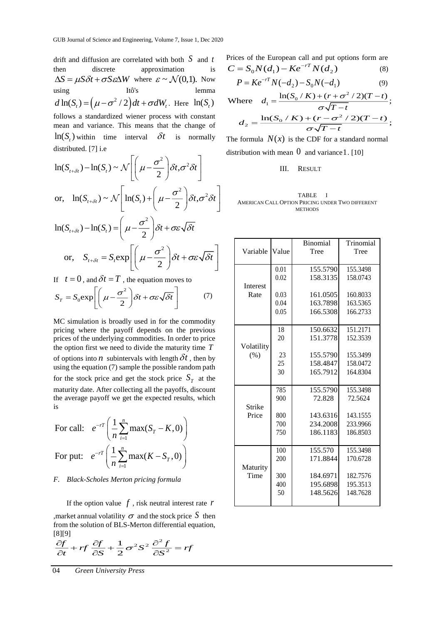drift and diffusion are correlated with both *S* and *t* then discrete approximation is  $\Delta S = \mu S \delta t + \sigma S \epsilon \Delta W$  where  $\epsilon \sim \mathcal{N}(0,1)$ . Now using Itô's lemma  $d \ln(S_t) = (\mu - \sigma^2 / 2) dt + \sigma dW_t$ . Here  $\ln(S_t)$ follows a standardized wiener process with constant mean and variance. This means that the change of  $\ln(S_t)$  within time interval  $\delta t$ is normally distributed. [7] i.e

$$
\ln(S_{t+\delta t}) - \ln(S_t) \sim \mathcal{N}\left[\left(\mu - \frac{\sigma^2}{2}\right)\delta t, \sigma^2 \delta t\right]
$$
  
or, 
$$
\ln(S_{t+\delta t}) \sim \mathcal{N}\left[\ln(S_t) + \left(\mu - \frac{\sigma^2}{2}\right)\delta t, \sigma^2 \delta t\right]
$$
  

$$
\ln(S_{t+\delta t}) - \ln(S_t) = \left(\mu - \frac{\sigma^2}{2}\right)\delta t + \sigma \varepsilon \sqrt{\delta t}
$$
  
or, 
$$
S_{t+\delta t} = S_t \exp\left[\left(\mu - \frac{\sigma^2}{2}\right)\delta t + \sigma \varepsilon \sqrt{\delta t}\right]
$$

or, 
$$
S_{t+\delta t} = S_t \exp \left[ \left( \mu - \frac{\sigma}{2} \right) \delta t + \sigma \varepsilon \sqrt{\delta t} \right]
$$
  
If  $t = 0$ , and  $\delta t = T$ , the equation moves to

$$
S_T = S_0 \exp\left[\left(\mu - \frac{\sigma^2}{2}\right) \delta t + \sigma \varepsilon \sqrt{\delta t}\right]
$$
 (7)

MC simulation is broadly used in for the commodity pricing where the payoff depends on the previous prices of the underlying commodities. In order to price the option first we need to divide the maturity time *T* of options into *n* subintervals with length  $\delta t$ , then by using the equation (7) sample the possible random path for the stock price and get the stock price  $S_T$  at the maturity date. After collecting all the payoffs, discount the average payoff we get the expected results, which is

For call: 
$$
e^{-rT} \left( \frac{1}{n} \sum_{i=1}^{n} \max(S_T - K, 0) \right)
$$
  
For put:  $e^{-rT} \left( \frac{1}{n} \sum_{i=1}^{n} \max(K - S_T, 0) \right)$ 

#### *F. Black-Scholes Merton pricing formula*

 If the option value *f* , risk neutral interest rate *r* , market annual volatility  $\sigma$  and the stock price S then from the solution of BLS-Merton differential equation, [8][9]

$$
\frac{\partial f}{\partial t} + rf \frac{\partial f}{\partial S} + \frac{1}{2}\sigma^2 S^2 \frac{\partial^2 f}{\partial S^2} = rf
$$

04 *Green University Press*

Prices of the European call and put options form are  $(8)$ 

$$
C = S_0 N(d_1) - Ke^{-rT} N(d_2)
$$
\n
$$
R = K_0 r^T N(d_1) - S_0 N(d_2)
$$
\n(8)

$$
P = Ke^{-rT}N(-d_2) - S_0N(-d_1)
$$
\n(9)

Where 
$$
d_1 = \frac{\ln(S_0/K) + (r + \sigma^2/2)(T-t)}{\sigma\sqrt{T-t}}
$$
;  
\n $d_2 = \frac{\ln(S_0/K) + (r - \sigma^2/2)(T-t)}{\sigma\sqrt{T-t}}$ ;

The formula  $N(x)$  is the CDF for a standard normal distribution with mean  $\hat{0}$  and variance 1. [10]

## III. RESULT

#### TABLE I AMERICAN CALL OPTION PRICING UNDER TWO DIFFERENT **METHODS**

|            |       | <b>Binomial</b> | Trinomial |  |
|------------|-------|-----------------|-----------|--|
| Variable   | Value | Tree            | Tree      |  |
|            |       |                 |           |  |
|            | 0.01  | 155.5790        | 155.3498  |  |
|            | 0.02  | 158.3135        | 158.0743  |  |
| Interest   |       |                 |           |  |
| Rate       | 0.03  | 161.0505        | 160.8033  |  |
|            | 0.04  | 163.7898        | 163.5365  |  |
|            | 0.05  | 166.5308        | 166.2733  |  |
|            |       |                 |           |  |
|            | 18    | 150.6632        | 151.2171  |  |
|            | 20    | 151.3778        | 152.3539  |  |
| Volatility |       |                 |           |  |
| (% )       | 23    | 155.5790        | 155.3499  |  |
|            | 25    | 158.4847        | 158.0472  |  |
|            | 30    | 165.7912        | 164.8304  |  |
|            |       |                 |           |  |
|            | 785   | 155.5790        | 155.3498  |  |
|            | 900   | 72.828          | 72.5624   |  |
| Strike     |       |                 |           |  |
| Price      | 800   | 143.6316        | 143.1555  |  |
|            | 700   | 234.2008        | 233.9966  |  |
|            | 750   | 186.1183        | 186.8503  |  |
|            |       |                 |           |  |
|            | 100   | 155.570         | 155.3498  |  |
|            | 200   | 171.8844        | 170.6728  |  |
| Maturity   |       |                 |           |  |
| Time       | 300   | 184.6971        | 182.7576  |  |
|            | 400   | 195.6898        | 195.3513  |  |
|            | 50    | 148.5626        | 148.7628  |  |
|            |       |                 |           |  |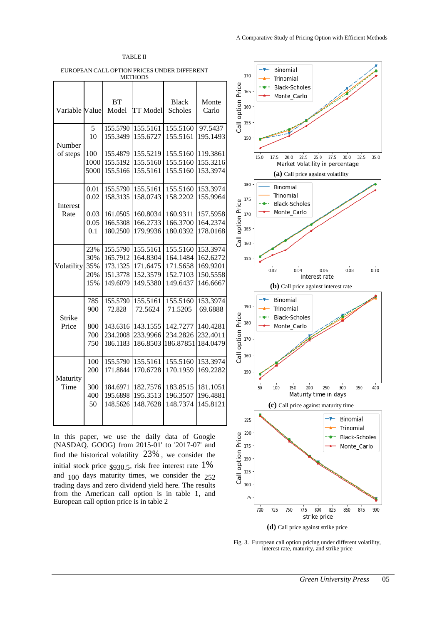

EUROPEAN CALL OPTION PRICES UNDER DIFFERENT METHODS

| Variable Value     |                     | <b>BT</b><br>Model               | <b>TT</b> Model                  | <b>Black</b><br>Scholes          | Monte<br>Carlo                   |
|--------------------|---------------------|----------------------------------|----------------------------------|----------------------------------|----------------------------------|
| Number<br>of steps | 5<br>10             | 155.5790<br>155.3499             | 155.5161<br>155.6727             | 155.5160<br>155.5161             | 97.5437<br>195.1493              |
|                    | 100<br>1000         | 155.4879<br>155.5192             | 155.5219<br>155.5160             | 155.5160<br>155.5160             | 119.3861<br>155.3216             |
|                    | 5000                | 155.5166                         | 155.5161                         | 155.5160                         | 153.3974                         |
| Interest<br>Rate   | 0.01<br>0.02        | 155.5790<br>158.3135             | 155.5161<br>158.0743             | 155.5160<br>158.2202             | 153.3974<br>155.9964             |
|                    | 0.03<br>0.05<br>0.1 | 161.0505<br>166.5308<br>180.2500 | 160.8034<br>166.2733<br>179.9936 | 160.9311<br>166.3700<br>180.0392 | 157.5958<br>164.2374<br>178.0168 |
|                    | 23%                 | 155.5790                         | 155.5161                         | 155.5160                         | 153.3974                         |
| Volatility         | 30%<br>35%<br>20%   | 165.7912<br>173.1325<br>151.3778 | 164.8304<br>171.6475<br>152.3579 | 164.1484<br>171.5658<br>152.7103 | 162.6272<br>169.9201<br>150.5558 |
|                    | 15%                 | 149.6079                         | 149.5380                         | 149.6437                         | 146.6667                         |
| Strike             | 785<br>900          | 155.5790<br>72.828               | 155.5161<br>72.5624              | 155.5160<br>71.5205              | 153.3974<br>69.6888              |
| Price              | 800<br>700          | 143.6316<br>234.2008             | 143.1555<br>233.9966             | 142.7277<br>234.2826             | 140.4281<br>232.4011             |
|                    | 750                 | 186.1183                         | 186.8503                         | 186.87851                        | 184.0479                         |
| Maturity<br>Time   | 100<br>200          | 155.5790<br>171.8844             | 155.5161<br>170.6728             | 155.5160<br>170.1959             | 153.3974<br>169.2282             |
|                    | 300<br>400<br>50    | 184.6971<br>195.6898<br>148.5626 | 182.7576<br>195.3513<br>148.7628 | 183.8515<br>196.3507<br>148.7374 | 181.1051<br>196.4881<br>145.8121 |
|                    |                     |                                  |                                  |                                  |                                  |

In this paper, we use the daily data of Google (NASDAQ. GOOG) from 2015-01' to '2017-07' and find the historical volatility 23% , we consider the initial stock price  $\frac{1}{6}$  \$930.5, risk free interest rate 1% and 100 days maturity times, we consider the 252 trading days and zero dividend yield here. The results from the American call option is in table 1, and European call option price is in table 2



Fig. 3. European call option pricing under different volatility, interest rate, maturity, and strike price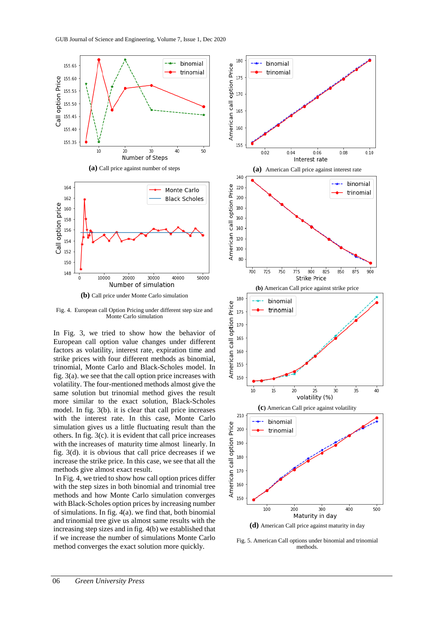

Fig. 4. European call Option Pricing under different step size and Monte Carlo simulation

In Fig. 3, we tried to show how the behavior of European call option value changes under different factors as volatility, interest rate, expiration time and strike prices with four different methods as binomial, trinomial, Monte Carlo and Black-Scholes model. In fig. 3(a). we see that the call option price increases with volatility. The four-mentioned methods almost give the same solution but trinomial method gives the result more similar to the exact solution, Black-Scholes model. In fig. 3(b). it is clear that call price increases with the interest rate. In this case, Monte Carlo simulation gives us a little fluctuating result than the others. In fig. 3(c). it is evident that call price increases with the increases of maturity time almost linearly. In fig. 3(d). it is obvious that call price decreases if we increase the strike price. In this case, we see that all the methods give almost exact result.

In Fig. 4, we tried to show how call option prices differ with the step sizes in both binomial and trinomial tree methods and how Monte Carlo simulation converges with Black-Scholes option prices by increasing number of simulations. In fig. 4(a). we find that, both binomial and trinomial tree give us almost same results with the increasing step sizes and in fig. 4(b) we established that if we increase the number of simulations Monte Carlo method converges the exact solution more quickly.



Fig. 5. American Call options under binomial and trinomial methods.